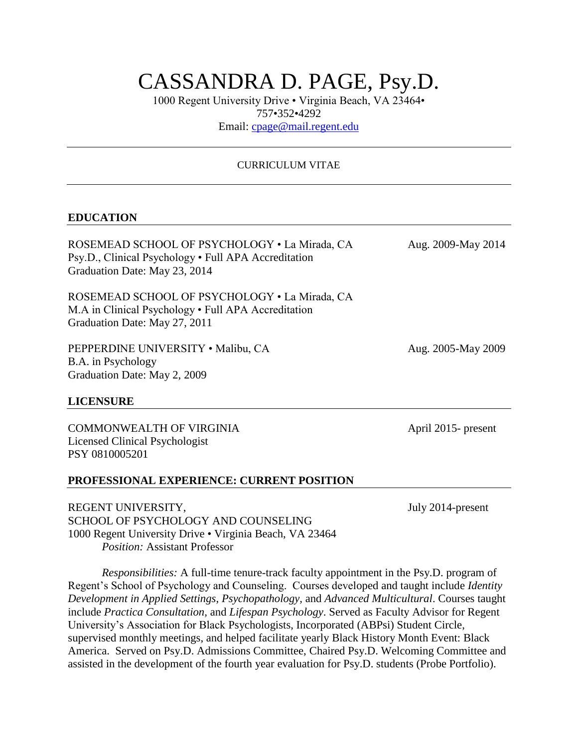# CASSANDRA D. PAGE, Psy.D.

1000 Regent University Drive • Virginia Beach, VA 23464• 757•352•4292

Email: cpage@mail.regent.edu

## CURRICULUM VITAE

#### **EDUCATION**

ROSEMEAD SCHOOL OF PSYCHOLOGY • La Mirada, CA Aug. 2009-May 2014 Psy.D., Clinical Psychology • Full APA Accreditation Graduation Date: May 23, 2014

ROSEMEAD SCHOOL OF PSYCHOLOGY • La Mirada, CA M.A in Clinical Psychology • Full APA Accreditation Graduation Date: May 27, 2011

PEPPERDINE UNIVERSITY • Malibu, CA Aug. 2005-May 2009 B.A. in Psychology Graduation Date: May 2, 2009

#### **LICENSURE**

COMMONWEALTH OF VIRGINIA April 2015- present Licensed Clinical Psychologist PSY 0810005201

#### **PROFESSIONAL EXPERIENCE: CURRENT POSITION**

REGENT UNIVERSITY, July 2014-present SCHOOL OF PSYCHOLOGY AND COUNSELING 1000 Regent University Drive • Virginia Beach, VA 23464 *Position:* Assistant Professor

*Responsibilities:* A full-time tenure-track faculty appointment in the Psy.D. program of Regent's School of Psychology and Counseling. Courses developed and taught include *Identity Development in Applied Settings*, *Psychopathology,* and *Advanced Multicultural*. Courses taught include *Practica Consultation,* and *Lifespan Psychology*. Served as Faculty Advisor for Regent University's Association for Black Psychologists, Incorporated (ABPsi) Student Circle, supervised monthly meetings, and helped facilitate yearly Black History Month Event: Black America. Served on Psy.D. Admissions Committee, Chaired Psy.D. Welcoming Committee and assisted in the development of the fourth year evaluation for Psy.D. students (Probe Portfolio).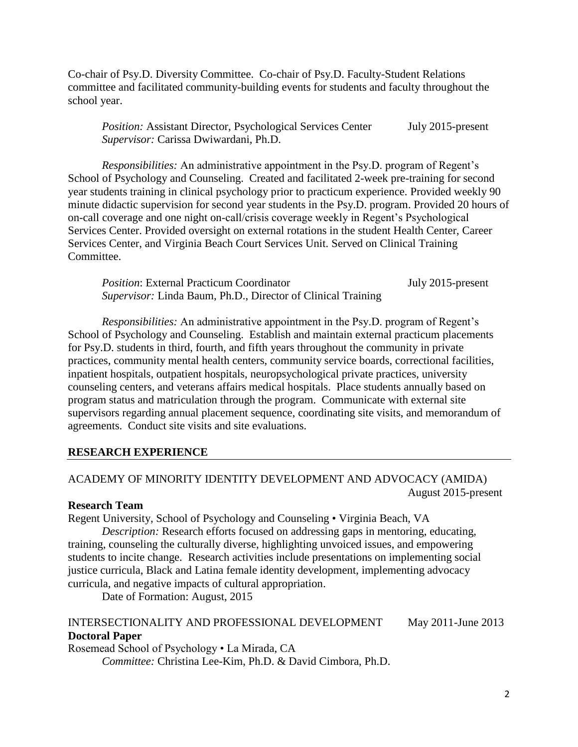Co-chair of Psy.D. Diversity Committee. Co-chair of Psy.D. Faculty-Student Relations committee and facilitated community-building events for students and faculty throughout the school year.

*Position:* Assistant Director, Psychological Services Center July 2015-present *Supervisor:* Carissa Dwiwardani, Ph.D.

*Responsibilities:* An administrative appointment in the Psy.D. program of Regent's School of Psychology and Counseling. Created and facilitated 2-week pre-training for second year students training in clinical psychology prior to practicum experience. Provided weekly 90 minute didactic supervision for second year students in the Psy.D. program. Provided 20 hours of on-call coverage and one night on-call/crisis coverage weekly in Regent's Psychological Services Center. Provided oversight on external rotations in the student Health Center, Career Services Center, and Virginia Beach Court Services Unit. Served on Clinical Training Committee.

| <i>Position:</i> External Practicum Coordinator                     | July 2015-present |
|---------------------------------------------------------------------|-------------------|
| <i>Supervisor:</i> Linda Baum, Ph.D., Director of Clinical Training |                   |

*Responsibilities:* An administrative appointment in the Psy.D. program of Regent's School of Psychology and Counseling. Establish and maintain external practicum placements for Psy.D. students in third, fourth, and fifth years throughout the community in private practices, community mental health centers, community service boards, correctional facilities, inpatient hospitals, outpatient hospitals, neuropsychological private practices, university counseling centers, and veterans affairs medical hospitals. Place students annually based on program status and matriculation through the program. Communicate with external site supervisors regarding annual placement sequence, coordinating site visits, and memorandum of agreements. Conduct site visits and site evaluations.

#### **RESEARCH EXPERIENCE**

## ACADEMY OF MINORITY IDENTITY DEVELOPMENT AND ADVOCACY (AMIDA) August 2015-present

#### **Research Team**

Regent University, School of Psychology and Counseling • Virginia Beach, VA

*Description:* Research efforts focused on addressing gaps in mentoring, educating, training, counseling the culturally diverse, highlighting unvoiced issues, and empowering students to incite change. Research activities include presentations on implementing social justice curricula, Black and Latina female identity development, implementing advocacy curricula, and negative impacts of cultural appropriation.

Date of Formation: August, 2015

## INTERSECTIONALITY AND PROFESSIONAL DEVELOPMENT May 2011-June 2013 **Doctoral Paper**

Rosemead School of Psychology • La Mirada, CA *Committee:* Christina Lee-Kim, Ph.D. & David Cimbora, Ph.D.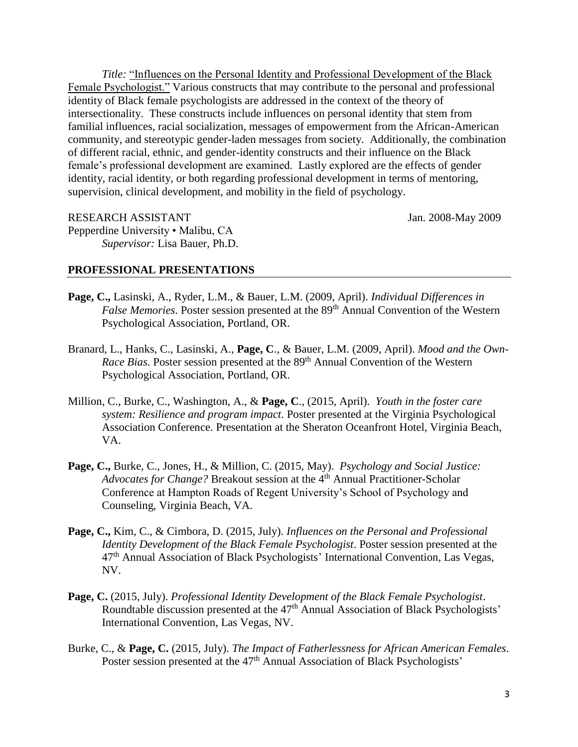*Title:* "Influences on the Personal Identity and Professional Development of the Black Female Psychologist." Various constructs that may contribute to the personal and professional identity of Black female psychologists are addressed in the context of the theory of intersectionality. These constructs include influences on personal identity that stem from familial influences, racial socialization, messages of empowerment from the African-American community, and stereotypic gender-laden messages from society. Additionally, the combination of different racial, ethnic, and gender-identity constructs and their influence on the Black female's professional development are examined. Lastly explored are the effects of gender identity, racial identity, or both regarding professional development in terms of mentoring, supervision, clinical development, and mobility in the field of psychology.

RESEARCH ASSISTANT Jan. 2008-May 2009 Pepperdine University • Malibu, CA *Supervisor:* Lisa Bauer, Ph.D.

## **PROFESSIONAL PRESENTATIONS**

- **Page, C.,** Lasinski, A., Ryder, L.M., & Bauer, L.M. (2009, April). *Individual Differences in False Memories*. Poster session presented at the 89<sup>th</sup> Annual Convention of the Western Psychological Association, Portland, OR.
- Branard, L., Hanks, C., Lasinski, A., **Page, C**., & Bauer, L.M. (2009, April). *Mood and the Own-Race Bias*. Poster session presented at the 89<sup>th</sup> Annual Convention of the Western Psychological Association, Portland, OR.
- Million, C., Burke, C., Washington, A., & **Page, C**., (2015, April). *Youth in the foster care system: Resilience and program impact*. Poster presented at the Virginia Psychological Association Conference. Presentation at the Sheraton Oceanfront Hotel, Virginia Beach, VA.
- **Page, C.,** Burke, C., Jones, H., & Million, C. (2015, May). *Psychology and Social Justice: Advocates for Change?* Breakout session at the 4<sup>th</sup> Annual Practitioner-Scholar Conference at Hampton Roads of Regent University's School of Psychology and Counseling, Virginia Beach, VA.
- **Page, C.,** Kim, C., & Cimbora, D. (2015, July). *Influences on the Personal and Professional Identity Development of the Black Female Psychologist*. Poster session presented at the 47th Annual Association of Black Psychologists' International Convention, Las Vegas, NV.
- **Page, C.** (2015, July). *Professional Identity Development of the Black Female Psychologist*. Roundtable discussion presented at the 47<sup>th</sup> Annual Association of Black Psychologists' International Convention, Las Vegas, NV.
- Burke, C., & **Page, C.** (2015, July). *The Impact of Fatherlessness for African American Females*. Poster session presented at the  $47<sup>th</sup>$  Annual Association of Black Psychologists'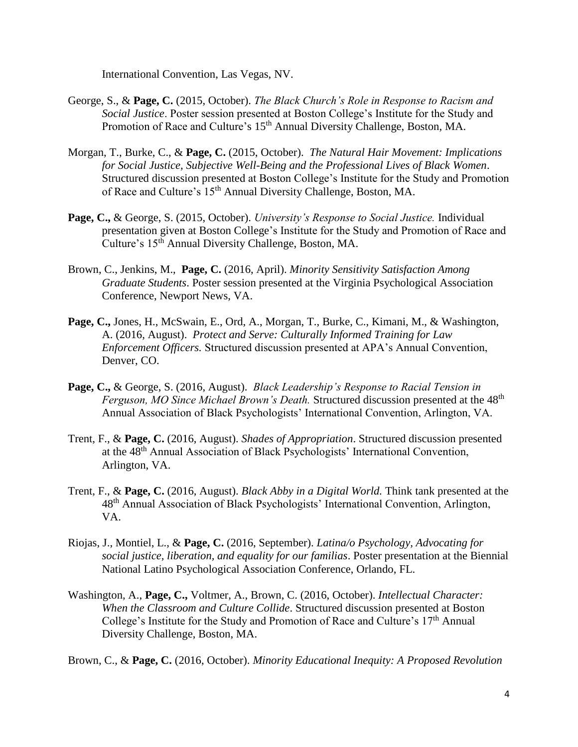International Convention, Las Vegas, NV.

- George, S., & **Page, C.** (2015, October). *The Black Church's Role in Response to Racism and Social Justice*. Poster session presented at Boston College's Institute for the Study and Promotion of Race and Culture's 15<sup>th</sup> Annual Diversity Challenge, Boston, MA.
- Morgan, T., Burke, C., & **Page, C.** (2015, October). *The Natural Hair Movement: Implications for Social Justice, Subjective Well-Being and the Professional Lives of Black Women*. Structured discussion presented at Boston College's Institute for the Study and Promotion of Race and Culture's 15<sup>th</sup> Annual Diversity Challenge, Boston, MA.
- **Page, C.,** & George, S. (2015, October). *University's Response to Social Justice.* Individual presentation given at Boston College's Institute for the Study and Promotion of Race and Culture's 15th Annual Diversity Challenge, Boston, MA.
- Brown, C., Jenkins, M., **Page, C.** (2016, April). *Minority Sensitivity Satisfaction Among Graduate Students*. Poster session presented at the Virginia Psychological Association Conference, Newport News, VA.
- **Page, C.,** Jones, H., McSwain, E., Ord, A., Morgan, T., Burke, C., Kimani, M., & Washington, A. (2016, August). *Protect and Serve: Culturally Informed Training for Law Enforcement Officers.* Structured discussion presented at APA's Annual Convention, Denver, CO.
- **Page, C.,** & George, S. (2016, August). *Black Leadership's Response to Racial Tension in Ferguson, MO Since Michael Brown's Death.* Structured discussion presented at the 48<sup>th</sup> Annual Association of Black Psychologists' International Convention, Arlington, VA.
- Trent, F., & **Page, C.** (2016, August). *Shades of Appropriation*. Structured discussion presented at the 48th Annual Association of Black Psychologists' International Convention, Arlington, VA.
- Trent, F., & **Page, C.** (2016, August). *Black Abby in a Digital World.* Think tank presented at the 48th Annual Association of Black Psychologists' International Convention, Arlington, VA.
- Riojas, J., Montiel, L., & **Page, C.** (2016, September). *Latina/o Psychology, Advocating for social justice, liberation, and equality for our familias*. Poster presentation at the Biennial National Latino Psychological Association Conference, Orlando, FL.
- Washington, A., **Page, C.,** Voltmer, A., Brown, C. (2016, October). *Intellectual Character: When the Classroom and Culture Collide*. Structured discussion presented at Boston College's Institute for the Study and Promotion of Race and Culture's 17<sup>th</sup> Annual Diversity Challenge, Boston, MA.

Brown, C., & **Page, C.** (2016, October). *Minority Educational Inequity: A Proposed Revolution*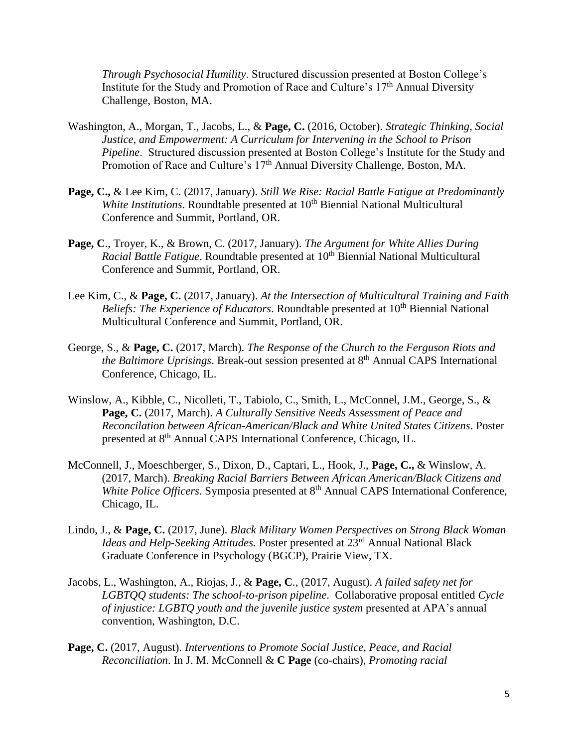*Through Psychosocial Humility*. Structured discussion presented at Boston College's Institute for the Study and Promotion of Race and Culture's  $17<sup>th</sup>$  Annual Diversity Challenge, Boston, MA.

- Washington, A., Morgan, T., Jacobs, L., & **Page, C.** (2016, October). *Strategic Thinking, Social Justice, and Empowerment: A Curriculum for Intervening in the School to Prison Pipeline*. Structured discussion presented at Boston College's Institute for the Study and Promotion of Race and Culture's 17<sup>th</sup> Annual Diversity Challenge, Boston, MA.
- **Page, C.,** & Lee Kim, C. (2017, January). *Still We Rise: Racial Battle Fatigue at Predominantly White Institutions*. Roundtable presented at 10<sup>th</sup> Biennial National Multicultural Conference and Summit, Portland, OR.
- **Page, C**., Troyer, K., & Brown, C. (2017, January). *The Argument for White Allies During Racial Battle Fatigue.* Roundtable presented at 10<sup>th</sup> Biennial National Multicultural Conference and Summit, Portland, OR.
- Lee Kim, C., & **Page, C.** (2017, January). *At the Intersection of Multicultural Training and Faith Beliefs: The Experience of Educators.* Roundtable presented at 10<sup>th</sup> Biennial National Multicultural Conference and Summit, Portland, OR.
- George, S., & **Page, C.** (2017, March). *The Response of the Church to the Ferguson Riots and the Baltimore Uprisings.* Break-out session presented at 8<sup>th</sup> Annual CAPS International Conference, Chicago, IL.
- Winslow, A., Kibble, C., Nicolleti, T., Tabiolo, C., Smith, L., McConnel, J.M., George, S., & **Page, C.** (2017, March). *A Culturally Sensitive Needs Assessment of Peace and Reconcilation between African-American/Black and White United States Citizens*. Poster presented at 8<sup>th</sup> Annual CAPS International Conference, Chicago, IL.
- McConnell, J., Moeschberger, S., Dixon, D., Captari, L., Hook, J., **Page, C.,** & Winslow, A. (2017, March). *Breaking Racial Barriers Between African American/Black Citizens and White Police Officers*. Symposia presented at 8<sup>th</sup> Annual CAPS International Conference, Chicago, IL.
- Lindo, J., & **Page, C.** (2017, June). *Black Military Women Perspectives on Strong Black Woman Ideas and Help-Seeking Attitudes.* Poster presented at 23<sup>rd</sup> Annual National Black Graduate Conference in Psychology (BGCP), Prairie View, TX.
- Jacobs, L., Washington, A., Riojas, J., & **Page, C**., (2017, August). *A failed safety net for LGBTQQ students: The school-to-prison pipeline*. Collaborative proposal entitled *Cycle of injustice: LGBTQ youth and the juvenile justice system* presented at APA's annual convention, Washington, D.C.
- **Page, C.** (2017, August). *Interventions to Promote Social Justice, Peace, and Racial Reconciliation*. In J. M. McConnell & **C Page** (co-chairs), *Promoting racial*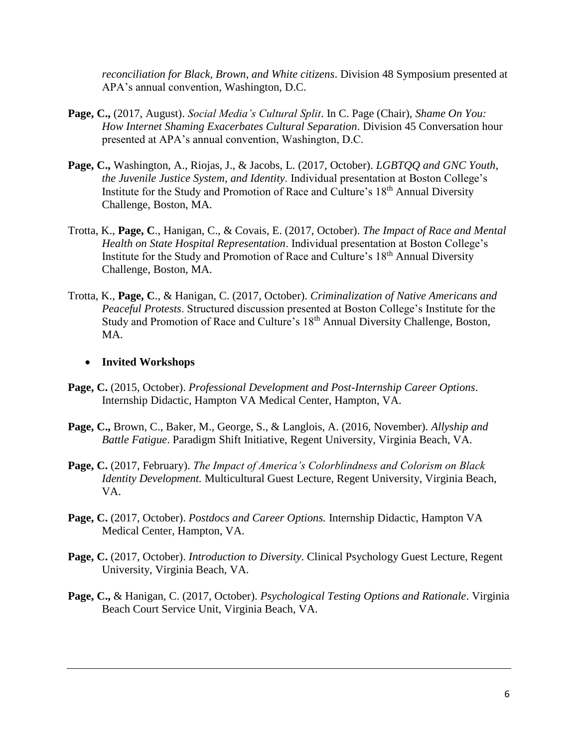*reconciliation for Black, Brown, and White citizens*. Division 48 Symposium presented at APA's annual convention, Washington, D.C.

- **Page, C.,** (2017, August). *Social Media's Cultural Split*. In C. Page (Chair), *Shame On You: How Internet Shaming Exacerbates Cultural Separation*. Division 45 Conversation hour presented at APA's annual convention, Washington, D.C.
- **Page, C.,** Washington, A., Riojas, J., & Jacobs, L. (2017, October). *LGBTQQ and GNC Youth, the Juvenile Justice System, and Identity*. Individual presentation at Boston College's Institute for the Study and Promotion of Race and Culture's 18th Annual Diversity Challenge, Boston, MA.
- Trotta, K., **Page, C**., Hanigan, C., & Covais, E. (2017, October). *The Impact of Race and Mental Health on State Hospital Representation*. Individual presentation at Boston College's Institute for the Study and Promotion of Race and Culture's 18th Annual Diversity Challenge, Boston, MA.
- Trotta, K., **Page, C**., & Hanigan, C. (2017, October). *Criminalization of Native Americans and Peaceful Protests*. Structured discussion presented at Boston College's Institute for the Study and Promotion of Race and Culture's 18th Annual Diversity Challenge, Boston, MA.

## **Invited Workshops**

- **Page, C.** (2015, October). *Professional Development and Post-Internship Career Options*. Internship Didactic, Hampton VA Medical Center, Hampton, VA.
- **Page, C.,** Brown, C., Baker, M., George, S., & Langlois, A. (2016, November). *Allyship and Battle Fatigue*. Paradigm Shift Initiative, Regent University, Virginia Beach, VA.
- **Page, C.** (2017, February). *The Impact of America's Colorblindness and Colorism on Black Identity Development.* Multicultural Guest Lecture, Regent University, Virginia Beach, VA.
- **Page, C.** (2017, October). *Postdocs and Career Options.* Internship Didactic, Hampton VA Medical Center, Hampton, VA.
- **Page, C.** (2017, October). *Introduction to Diversity*. Clinical Psychology Guest Lecture, Regent University, Virginia Beach, VA.
- **Page, C.,** & Hanigan, C. (2017, October). *Psychological Testing Options and Rationale*. Virginia Beach Court Service Unit, Virginia Beach, VA.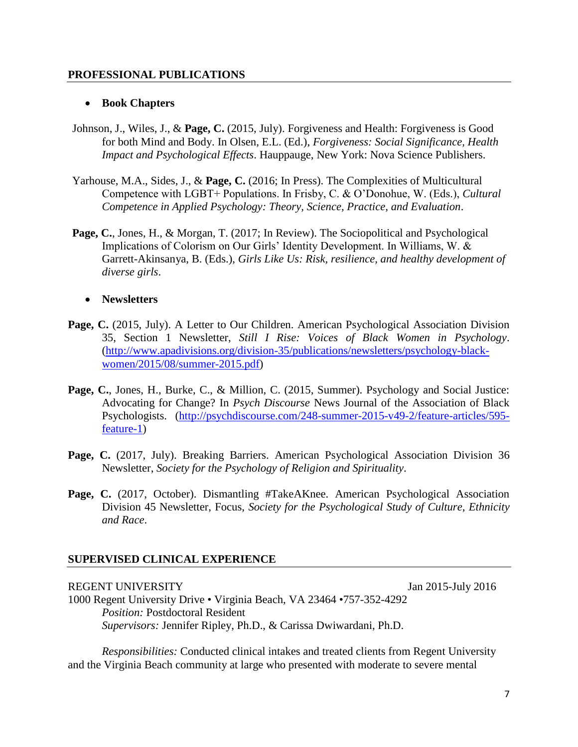## **PROFESSIONAL PUBLICATIONS**

#### **Book Chapters**

- Johnson, J., Wiles, J., & **Page, C.** (2015, July). Forgiveness and Health: Forgiveness is Good for both Mind and Body. In Olsen, E.L. (Ed.), *Forgiveness: Social Significance, Health Impact and Psychological Effects*. Hauppauge, New York: Nova Science Publishers.
- Yarhouse, M.A., Sides, J., & **Page, C.** (2016; In Press). The Complexities of Multicultural Competence with LGBT+ Populations. In Frisby, C. & O'Donohue, W. (Eds.), *Cultural Competence in Applied Psychology: Theory, Science, Practice, and Evaluation*.
- **Page, C.**, Jones, H., & Morgan, T. (2017; In Review). The Sociopolitical and Psychological Implications of Colorism on Our Girls' Identity Development. In Williams, W. & Garrett-Akinsanya, B. (Eds.), *Girls Like Us: Risk, resilience, and healthy development of diverse girls*.

## **Newsletters**

- Page, C. (2015, July). A Letter to Our Children. American Psychological Association Division 35, Section 1 Newsletter, *Still I Rise: Voices of Black Women in Psychology*. [\(http://www.apadivisions.org/division-35/publications/newsletters/psychology-black](http://www.apadivisions.org/division-35/publications/newsletters/psychology-black-women/2015/08/summer-2015.pdf)[women/2015/08/summer-2015.pdf\)](http://www.apadivisions.org/division-35/publications/newsletters/psychology-black-women/2015/08/summer-2015.pdf)
- **Page, C.**, Jones, H., Burke, C., & Million, C. (2015, Summer). Psychology and Social Justice: Advocating for Change? In *Psych Discourse* News Journal of the Association of Black Psychologists. [\(http://psychdiscourse.com/248-summer-2015-v49-2/feature-articles/595](http://psychdiscourse.com/248-summer-2015-v49-2/feature-articles/595-feature-1) [feature-1\)](http://psychdiscourse.com/248-summer-2015-v49-2/feature-articles/595-feature-1)
- Page, C. (2017, July). Breaking Barriers. American Psychological Association Division 36 Newsletter, *Society for the Psychology of Religion and Spirituality*.
- Page, C. (2017, October). Dismantling #TakeAKnee. American Psychological Association Division 45 Newsletter, Focus, *Society for the Psychological Study of Culture, Ethnicity and Race*.

#### **SUPERVISED CLINICAL EXPERIENCE**

## REGENT UNIVERSITY Jan 2015-July 2016

1000 Regent University Drive • Virginia Beach, VA 23464 •757-352-4292 *Position:* Postdoctoral Resident *Supervisors:* Jennifer Ripley, Ph.D., & Carissa Dwiwardani, Ph.D.

*Responsibilities:* Conducted clinical intakes and treated clients from Regent University and the Virginia Beach community at large who presented with moderate to severe mental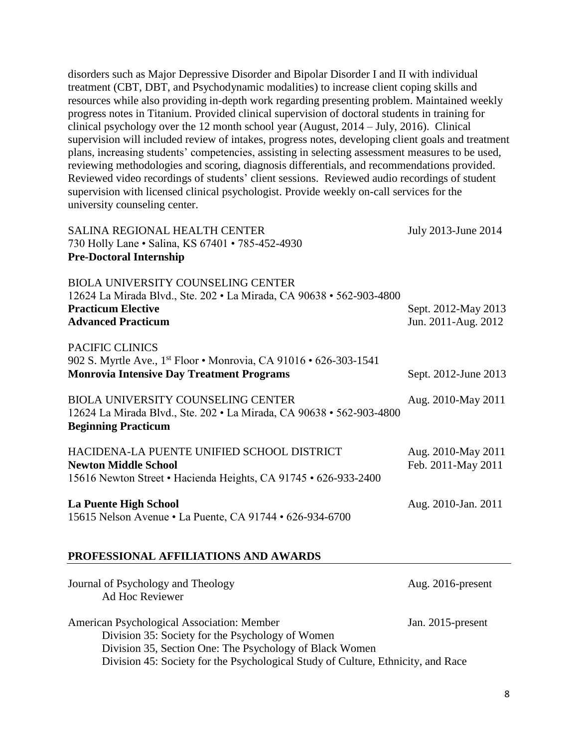disorders such as Major Depressive Disorder and Bipolar Disorder I and II with individual treatment (CBT, DBT, and Psychodynamic modalities) to increase client coping skills and resources while also providing in-depth work regarding presenting problem. Maintained weekly progress notes in Titanium. Provided clinical supervision of doctoral students in training for clinical psychology over the 12 month school year (August, 2014 – July, 2016). Clinical supervision will included review of intakes, progress notes, developing client goals and treatment plans, increasing students' competencies, assisting in selecting assessment measures to be used, reviewing methodologies and scoring, diagnosis differentials, and recommendations provided. Reviewed video recordings of students' client sessions. Reviewed audio recordings of student supervision with licensed clinical psychologist. Provide weekly on-call services for the university counseling center.

| <b>SALINA REGIONAL HEALTH CENTER</b><br>730 Holly Lane • Salina, KS 67401 • 785-452-4930                                                                                    | July 2013-June 2014                        |
|-----------------------------------------------------------------------------------------------------------------------------------------------------------------------------|--------------------------------------------|
| <b>Pre-Doctoral Internship</b>                                                                                                                                              |                                            |
| <b>BIOLA UNIVERSITY COUNSELING CENTER</b><br>12624 La Mirada Blvd., Ste. 202 · La Mirada, CA 90638 · 562-903-4800<br><b>Practicum Elective</b><br><b>Advanced Practicum</b> | Sept. 2012-May 2013<br>Jun. 2011-Aug. 2012 |
| PACIFIC CLINICS<br>902 S. Myrtle Ave., 1st Floor • Monrovia, CA 91016 • 626-303-1541<br><b>Monrovia Intensive Day Treatment Programs</b>                                    | Sept. 2012-June 2013                       |
| <b>BIOLA UNIVERSITY COUNSELING CENTER</b><br>12624 La Mirada Blvd., Ste. 202 · La Mirada, CA 90638 · 562-903-4800<br><b>Beginning Practicum</b>                             | Aug. 2010-May 2011                         |
| HACIDENA-LA PUENTE UNIFIED SCHOOL DISTRICT<br><b>Newton Middle School</b><br>15616 Newton Street • Hacienda Heights, CA 91745 • 626-933-2400                                | Aug. 2010-May 2011<br>Feb. 2011-May 2011   |
| <b>La Puente High School</b><br>15615 Nelson Avenue • La Puente, CA 91744 • 626-934-6700                                                                                    | Aug. 2010-Jan. 2011                        |
| PROFESSIONAL AFFILIATIONS AND AWARDS                                                                                                                                        |                                            |
| Journal of Psychology and Theology<br>Ad Hoc Reviewer                                                                                                                       | Aug. 2016-present                          |
| American Psychological Association: Member<br>Division 35: Society for the Psychology of Women<br>Division 35, Section One: The Psychology of Black Women                   | Jan. 2015-present                          |

Division 45: Society for the Psychological Study of Culture, Ethnicity, and Race